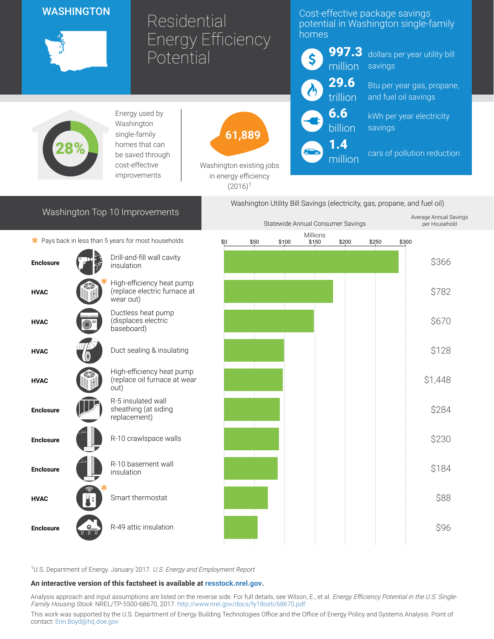# WASHINGTON



# Residential Energy Efficiency Potential

## Cost-effective package savings potential in Washington single-family homes



million

dollars per year utility bill savings

Btu per year gas, propane, and fuel oil savings

kWh per year electricity savings

cars of pollution reduction



Energy used by Washington single-family homes that can be saved through cost-effective improvements

61,889

Washington existing jobs in energy efficiency  $(2016)^1$ 

# $*$  Pays back in less than 5 years for most households

Washington Top 10 Improvements





<sup>1</sup>U.S. Department of Energy. January 2017. U.S. Energy and Employment Report

#### An interactive version of this factsheet is available at [resstock.nrel.gov.](https://resstock.nrel.gov/)

Analysis approach and input assumptions are listed on the reverse side. For full details, see Wilson, E., et al. Energy Efficiency Potential in the U.S. Single-Family Housing Stock. NREL/TP-5500-68670, 2017. <http://www.nrel.gov/docs/fy18osti/68670.pdf>

This work was supported by the U.S. Department of Energy Building Technologies Office and the Office of Energy Policy and Systems Analysis. Point of contact: [Erin.Boyd@hq.doe.gov](mailto:Erin.Boyd@hq.doe.gov)